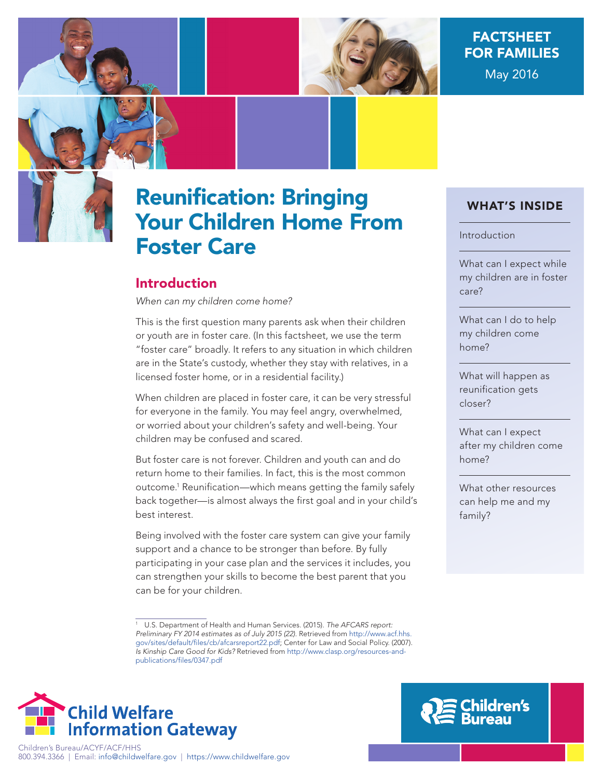

# FACTSHEET FOR FAMILIES May 2016



# Reunification: Bringing Your Children Home From Foster Care

# Introduction

When can my children come home?

This is the first question many parents ask when their children or youth are in foster care. (In this factsheet, we use the term "foster care" broadly. It refers to any situation in which children are in the State's custody, whether they stay with relatives, in a licensed foster home, or in a residential facility.)

When children are placed in foster care, it can be very stressful for everyone in the family. You may feel angry, overwhelmed, or worried about your children's safety and well-being. Your children may be confused and scared.

But foster care is not forever. Children and youth can and do return home to their families. In fact, this is the most common outcome.1 Reunification—which means getting the family safely back together—is almost always the first goal and in your child's best interest.

Being involved with the foster care system can give your family support and a chance to be stronger than before. By fully participating in your case plan and the services it includes, you can strengthen your skills to become the best parent that you can be for your children.

<sup>&</sup>lt;sup>1</sup> U.S. Department of Health and Human Services. (2015). The AFCARS report: Preliminary FY 2014 estimates as of July 2015 (22). Retrieved from http://www.acf.hhs. gov/sites/default/files/cb/afcarsreport22.pdf; Center for Law and Social Policy. (2007). Is Kinship Care Good for Kids? Retrieved from [http://www.clasp.org/resources-and](http://www.clasp.org/resources-and-publications/files/0347.pdf)[publications/files/0347.pdf](http://www.clasp.org/resources-and-publications/files/0347.pdf)



# C<mark>hildren's</mark><br>Bureau

WHAT'S INSIDE

#### Introduction

What can I expect while my children are in foster care?

What can I do to help my children come home?

What will happen as reunification gets closer?

What can I expect after my children come home?

What other resources can help me and my family?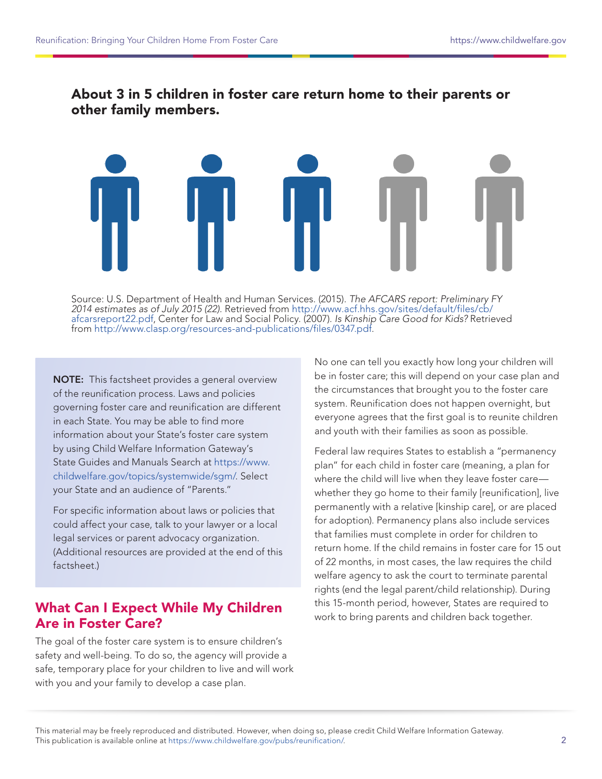# About 3 in 5 children in foster care return home to their parents or other family members.

Source: U.S. Department of Health and Human Services. (2015). The AFCARS report: Preliminary FY 2014 estimates as of July 2015 (22). Retrieved from [http://www.acf.hhs.gov/sites/default/files/cb/](http://www.acf.hhs.gov/sites/default/files/cb/afcarsreport22.pdf) [afcarsreport22.pdf,](http://www.acf.hhs.gov/sites/default/files/cb/afcarsreport22.pdf) Center for Law and Social Policy. (2007). Is Kinship Care Good for Kids? Retrieved from <http://www.clasp.org/resources-and-publications/files/0347.pdf>.

NOTE: This factsheet provides a general overview of the reunification process. Laws and policies governing foster care and reunification are different in each State. You may be able to find more information about your State's foster care system by using Child Welfare Information Gateway's State Guides and Manuals Search at [https://www.](https://www.childwelfare.gov/topics/systemwide/sgm/) [childwelfare.gov/topics/systemwide/sgm/](https://www.childwelfare.gov/topics/systemwide/sgm/). Select your State and an audience of "Parents."

For specific information about laws or policies that could affect your case, talk to your lawyer or a local legal services or parent advocacy organization. (Additional resources are provided at the end of this factsheet.)

# What Can I Expect While My Children Are in Foster Care?

The goal of the foster care system is to ensure children's safety and well-being. To do so, the agency will provide a safe, temporary place for your children to live and will work with you and your family to develop a case plan.

No one can tell you exactly how long your children will be in foster care; this will depend on your case plan and the circumstances that brought you to the foster care system. Reunification does not happen overnight, but everyone agrees that the first goal is to reunite children and youth with their families as soon as possible.

Federal law requires States to establish a "permanency plan" for each child in foster care (meaning, a plan for where the child will live when they leave foster care whether they go home to their family [reunification], live permanently with a relative [kinship care], or are placed for adoption). Permanency plans also include services that families must complete in order for children to return home. If the child remains in foster care for 15 out of 22 months, in most cases, the law requires the child welfare agency to ask the court to terminate parental rights (end the legal parent/child relationship). During this 15-month period, however, States are required to work to bring parents and children back together.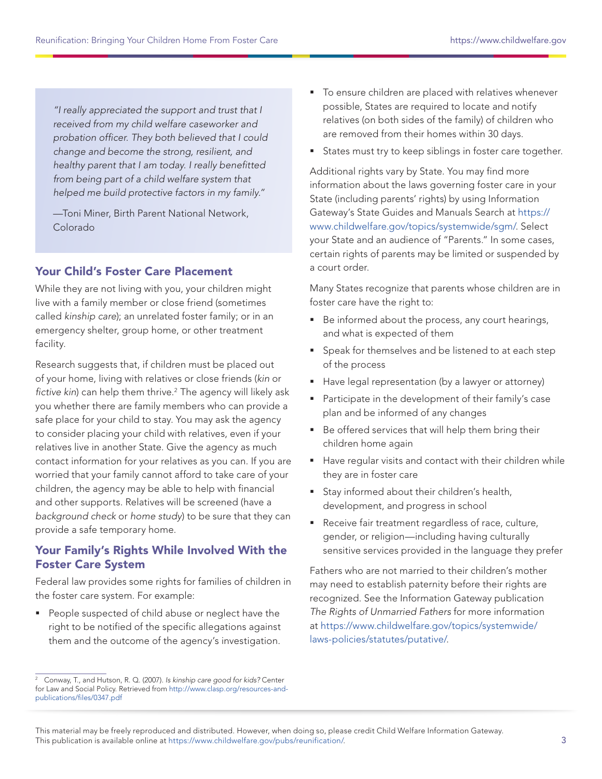"I really appreciated the support and trust that I received from my child welfare caseworker and probation officer. They both believed that I could change and become the strong, resilient, and healthy parent that I am today. I really benefitted from being part of a child welfare system that helped me build protective factors in my family."

—Toni Miner, Birth Parent National Network, Colorado

#### Your Child's Foster Care Placement

While they are not living with you, your children might live with a family member or close friend (sometimes called kinship care); an unrelated foster family; or in an emergency shelter, group home, or other treatment facility.

Research suggests that, if children must be placed out of your home, living with relatives or close friends (kin or fictive kin) can help them thrive. $^2$  The agency will likely ask you whether there are family members who can provide a safe place for your child to stay. You may ask the agency to consider placing your child with relatives, even if your relatives live in another State. Give the agency as much contact information for your relatives as you can. If you are worried that your family cannot afford to take care of your children, the agency may be able to help with financial and other supports. Relatives will be screened (have a background check or home study) to be sure that they can provide a safe temporary home.

#### Your Family's Rights While Involved With the Foster Care System

Federal law provides some rights for families of children in the foster care system. For example:

People suspected of child abuse or neglect have the right to be notified of the specific allegations against them and the outcome of the agency's investigation.

- To ensure children are placed with relatives whenever possible, States are required to locate and notify relatives (on both sides of the family) of children who are removed from their homes within 30 days.
- States must try to keep siblings in foster care together.

Additional rights vary by State. You may find more information about the laws governing foster care in your State (including parents' rights) by using Information Gateway's State Guides and Manuals Search at [https://](https://www.childwelfare.gov/topics/systemwide/sgm/) [www.childwelfare.gov/topics/systemwide/sgm/.](https://www.childwelfare.gov/topics/systemwide/sgm/) Select your State and an audience of "Parents." In some cases, certain rights of parents may be limited or suspended by a court order.

Many States recognize that parents whose children are in foster care have the right to:

- Be informed about the process, any court hearings, and what is expected of them
- **Speak for themselves and be listened to at each step** of the process
- Have legal representation (by a lawyer or attorney)
- **Participate in the development of their family's case** plan and be informed of any changes
- Be offered services that will help them bring their children home again
- Have regular visits and contact with their children while they are in foster care
- Stay informed about their children's health, development, and progress in school
- Receive fair treatment regardless of race, culture, gender, or religion—including having culturally sensitive services provided in the language they prefer

Fathers who are not married to their children's mother may need to establish paternity before their rights are recognized. See the Information Gateway publication The Rights of Unmarried Fathers for more information at [https://www.childwelfare.gov/topics/systemwide/](https://www.childwelfare.gov/topics/systemwide/laws-policies/statutes/putative/) [laws-policies/statutes/putative/](https://www.childwelfare.gov/topics/systemwide/laws-policies/statutes/putative/).

<sup>2</sup> Conway, T., and Hutson, R. Q. (2007). Is kinship care good for kids? Center for Law and Social Policy. Retrieved from [http://www.clasp.org/resources-and](http://www.clasp.org/resources-and-publications/files/0347.pdf)[publications/files/0347.pdf](http://www.clasp.org/resources-and-publications/files/0347.pdf)

This material may be freely reproduced and distributed. However, when doing so, please credit Child Welfare Information Gateway. This publication is available online at https://www.childwelfare.gov/pubs/reunification/.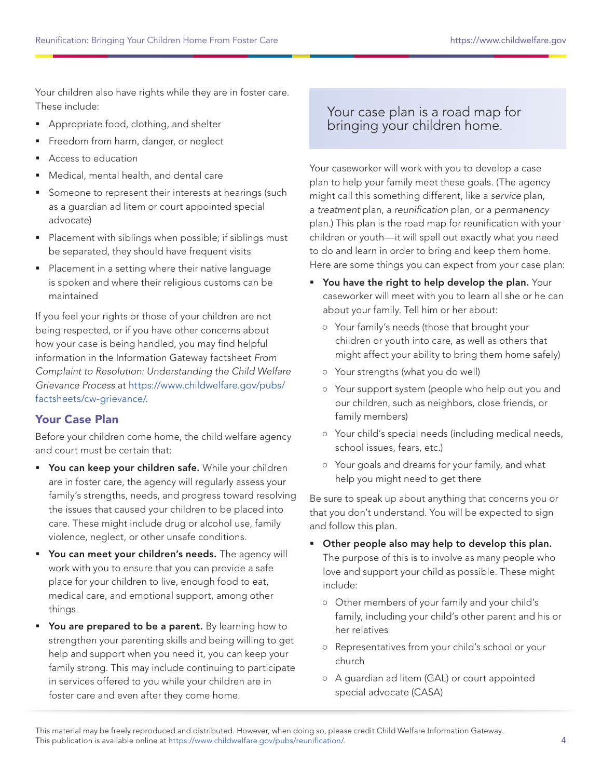Your children also have rights while they are in foster care. These include:

- Appropriate food, clothing, and shelter
- Freedom from harm, danger, or neglect
- Access to education
- Medical, mental health, and dental care
- **Someone to represent their interests at hearings (such** as a guardian ad litem or court appointed special advocate)
- **Placement with siblings when possible; if siblings must** be separated, they should have frequent visits
- **Placement in a setting where their native language** is spoken and where their religious customs can be maintained

If you feel your rights or those of your children are not being respected, or if you have other concerns about how your case is being handled, you may find helpful information in the Information Gateway factsheet From Complaint to Resolution: Understanding the Child Welfare Grievance Process at [https://www.childwelfare.gov/pubs/](https://www.childwelfare.gov/pubs/factsheets/cw-grievance/) [factsheets/cw-grievance/](https://www.childwelfare.gov/pubs/factsheets/cw-grievance/).

#### Your Case Plan

Before your children come home, the child welfare agency and court must be certain that:

- **You can keep your children safe.** While your children are in foster care, the agency will regularly assess your family's strengths, needs, and progress toward resolving the issues that caused your children to be placed into care. These might include drug or alcohol use, family violence, neglect, or other unsafe conditions.
- **You can meet your children's needs.** The agency will work with you to ensure that you can provide a safe place for your children to live, enough food to eat, medical care, and emotional support, among other things.
- **You are prepared to be a parent.** By learning how to strengthen your parenting skills and being willing to get help and support when you need it, you can keep your family strong. This may include continuing to participate in services offered to you while your children are in foster care and even after they come home.

# Your case plan is a road map for bringing your children home.

Your caseworker will work with you to develop a case plan to help your family meet these goals. (The agency might call this something different, like a service plan, a treatment plan, a reunification plan, or a permanency plan.) This plan is the road map for reunification with your children or youth—it will spell out exactly what you need to do and learn in order to bring and keep them home. Here are some things you can expect from your case plan:

- " You have the right to help develop the plan. Your caseworker will meet with you to learn all she or he can about your family. Tell him or her about:
	- **○** Your family's needs (those that brought your children or youth into care, as well as others that might affect your ability to bring them home safely)
	- **○** Your strengths (what you do well)
	- **○** Your support system (people who help out you and our children, such as neighbors, close friends, or family members)
	- **○** Your child's special needs (including medical needs, school issues, fears, etc.)
	- **○** Your goals and dreams for your family, and what help you might need to get there

Be sure to speak up about anything that concerns you or that you don't understand. You will be expected to sign and follow this plan.

- **Other people also may help to develop this plan.** The purpose of this is to involve as many people who love and support your child as possible. These might include:
	- **○** Other members of your family and your child's family, including your child's other parent and his or her relatives
	- **○** Representatives from your child's school or your church
	- **○** A guardian ad litem (GAL) or court appointed special advocate (CASA)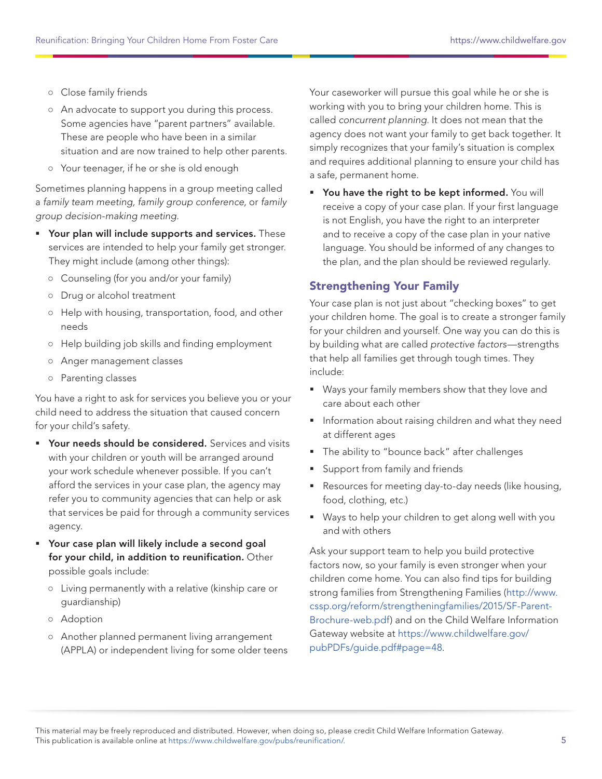- **○** Close family friends
- **○** An advocate to support you during this process. Some agencies have "parent partners" available. These are people who have been in a similar situation and are now trained to help other parents.
- **○** Your teenager, if he or she is old enough

Sometimes planning happens in a group meeting called a family team meeting, family group conference, or family group decision-making meeting.

- **Your plan will include supports and services.** These services are intended to help your family get stronger. They might include (among other things):
	- **○** Counseling (for you and/or your family)
	- **○** Drug or alcohol treatment
	- **○** Help with housing, transportation, food, and other needs
	- **○** Help building job skills and finding employment
	- **○** Anger management classes
	- **○** Parenting classes

You have a right to ask for services you believe you or your child need to address the situation that caused concern for your child's safety.

- **PED Your needs should be considered.** Services and visits with your children or youth will be arranged around your work schedule whenever possible. If you can't afford the services in your case plan, the agency may refer you to community agencies that can help or ask that services be paid for through a community services agency.
- Your case plan will likely include a second goal for your child, in addition to reunification. Other possible goals include:
	- **○** Living permanently with a relative (kinship care or guardianship)
	- **○** Adoption
	- **○** Another planned permanent living arrangement (APPLA) or independent living for some older teens

Your caseworker will pursue this goal while he or she is working with you to bring your children home. This is called concurrent planning. It does not mean that the agency does not want your family to get back together. It simply recognizes that your family's situation is complex and requires additional planning to ensure your child has a safe, permanent home.

" You have the right to be kept informed. You will receive a copy of your case plan. If your first language is not English, you have the right to an interpreter and to receive a copy of the case plan in your native language. You should be informed of any changes to the plan, and the plan should be reviewed regularly.

#### Strengthening Your Family

Your case plan is not just about "checking boxes" to get your children home. The goal is to create a stronger family for your children and yourself. One way you can do this is by building what are called protective factors—strengths that help all families get through tough times. They include:

- Ways your family members show that they love and care about each other
- **Information about raising children and what they need** at different ages
- **The ability to "bounce back" after challenges**
- **Support from family and friends**
- Resources for meeting day-to-day needs (like housing, food, clothing, etc.)
- Ways to help your children to get along well with you and with others

Ask your support team to help you build protective factors now, so your family is even stronger when your children come home. You can also find tips for building strong families from Strengthening Families [\(http://www.](http://www.cssp.org/reform/strengtheningfamilies/2015/SF-Parent-Brochure-web.pdf) [cssp.org/reform/strengtheningfamilies/2015/SF-Parent-](http://www.cssp.org/reform/strengtheningfamilies/2015/SF-Parent-Brochure-web.pdf)[Brochure-web.pdf\)](http://www.cssp.org/reform/strengtheningfamilies/2015/SF-Parent-Brochure-web.pdf) and on the Child Welfare Information Gateway website at [https://www.childwelfare.gov/](https://www.childwelfare.gov/pubPDFs/guide.pdf#page=48) [pubPDFs/guide.pdf#page=48.](https://www.childwelfare.gov/pubPDFs/guide.pdf#page=48)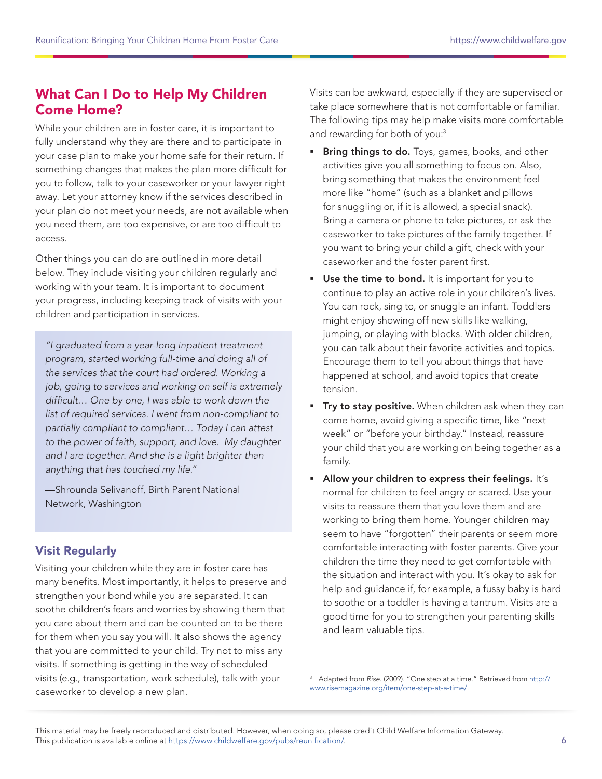# What Can I Do to Help My Children Come Home?

While your children are in foster care, it is important to fully understand why they are there and to participate in your case plan to make your home safe for their return. If something changes that makes the plan more difficult for you to follow, talk to your caseworker or your lawyer right away. Let your attorney know if the services described in your plan do not meet your needs, are not available when you need them, are too expensive, or are too difficult to access.

Other things you can do are outlined in more detail below. They include visiting your children regularly and working with your team. It is important to document your progress, including keeping track of visits with your children and participation in services.

"I graduated from a year-long inpatient treatment program, started working full-time and doing all of the services that the court had ordered. Working a job, going to services and working on self is extremely difficult… One by one, I was able to work down the list of required services. I went from non-compliant to partially compliant to compliant… Today I can attest to the power of faith, support, and love. My daughter and I are together. And she is a light brighter than anything that has touched my life."

—Shrounda Selivanoff, Birth Parent National Network, Washington

### Visit Regularly

Visiting your children while they are in foster care has many benefits. Most importantly, it helps to preserve and strengthen your bond while you are separated. It can soothe children's fears and worries by showing them that you care about them and can be counted on to be there for them when you say you will. It also shows the agency that you are committed to your child. Try not to miss any visits. If something is getting in the way of scheduled visits (e.g., transportation, work schedule), talk with your caseworker to develop a new plan.

Visits can be awkward, especially if they are supervised or take place somewhere that is not comfortable or familiar. The following tips may help make visits more comfortable and rewarding for both of you:<sup>3</sup>

- **Bring things to do.** Toys, games, books, and other activities give you all something to focus on. Also, bring something that makes the environment feel more like "home" (such as a blanket and pillows for snuggling or, if it is allowed, a special snack). Bring a camera or phone to take pictures, or ask the caseworker to take pictures of the family together. If you want to bring your child a gift, check with your caseworker and the foster parent first.
- Use the time to bond. It is important for you to continue to play an active role in your children's lives. You can rock, sing to, or snuggle an infant. Toddlers might enjoy showing off new skills like walking, jumping, or playing with blocks. With older children, you can talk about their favorite activities and topics. Encourage them to tell you about things that have happened at school, and avoid topics that create tension.
- **Try to stay positive.** When children ask when they can come home, avoid giving a specific time, like "next week" or "before your birthday." Instead, reassure your child that you are working on being together as a family.
- **Allow your children to express their feelings.** It's normal for children to feel angry or scared. Use your visits to reassure them that you love them and are working to bring them home. Younger children may seem to have "forgotten" their parents or seem more comfortable interacting with foster parents. Give your children the time they need to get comfortable with the situation and interact with you. It's okay to ask for help and guidance if, for example, a fussy baby is hard to soothe or a toddler is having a tantrum. Visits are a good time for you to strengthen your parenting skills and learn valuable tips.

<sup>&</sup>lt;sup>3</sup> Adapted from Rise. (2009). "One step at a time." Retrieved from [http://](http://www.risemagazine.org/item/one-step-at-a-time/) [www.risemagazine.org/item/one-step-at-a-time/](http://www.risemagazine.org/item/one-step-at-a-time/).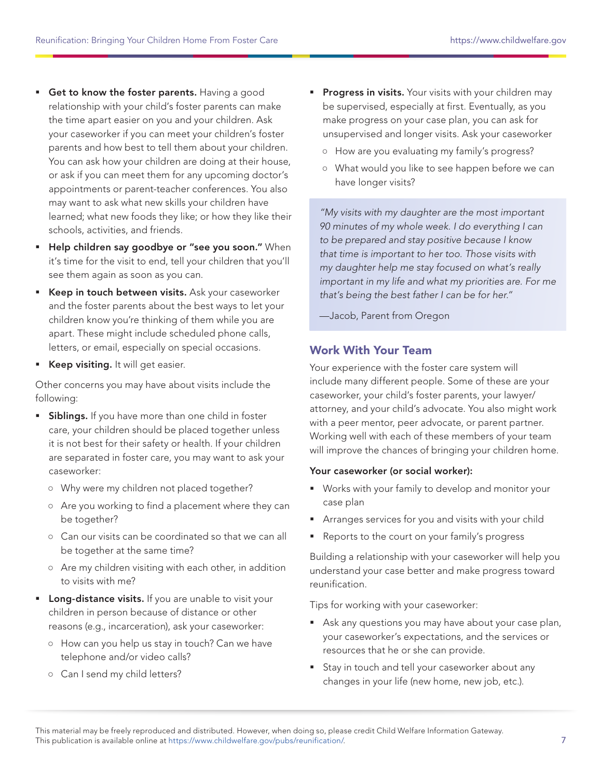- Get to know the foster parents. Having a good relationship with your child's foster parents can make the time apart easier on you and your children. Ask your caseworker if you can meet your children's foster parents and how best to tell them about your children. You can ask how your children are doing at their house, or ask if you can meet them for any upcoming doctor's appointments or parent-teacher conferences. You also may want to ask what new skills your children have learned; what new foods they like; or how they like their schools, activities, and friends.
- **Help children say goodbye or "see you soon."** When it's time for the visit to end, tell your children that you'll see them again as soon as you can.
- **Keep in touch between visits.** Ask your caseworker and the foster parents about the best ways to let your children know you're thinking of them while you are apart. These might include scheduled phone calls, letters, or email, especially on special occasions.
- Keep visiting. It will get easier.

Other concerns you may have about visits include the following:

- **Siblings.** If you have more than one child in foster care, your children should be placed together unless it is not best for their safety or health. If your children are separated in foster care, you may want to ask your caseworker:
	- **○** Why were my children not placed together?
	- **○** Are you working to find a placement where they can be together?
	- **○** Can our visits can be coordinated so that we can all be together at the same time?
	- **○** Are my children visiting with each other, in addition to visits with me?
- **Long-distance visits.** If you are unable to visit your children in person because of distance or other reasons (e.g., incarceration), ask your caseworker:
	- **○** How can you help us stay in touch? Can we have telephone and/or video calls?
	- **○** Can I send my child letters?
- **Progress in visits.** Your visits with your children may be supervised, especially at first. Eventually, as you make progress on your case plan, you can ask for unsupervised and longer visits. Ask your caseworker
	- **○** How are you evaluating my family's progress?
	- **○** What would you like to see happen before we can have longer visits?

"My visits with my daughter are the most important 90 minutes of my whole week. I do everything I can to be prepared and stay positive because I know that time is important to her too. Those visits with my daughter help me stay focused on what's really important in my life and what my priorities are. For me that's being the best father I can be for her."

—Jacob, Parent from Oregon

#### Work With Your Team

Your experience with the foster care system will include many different people. Some of these are your caseworker, your child's foster parents, your lawyer/ attorney, and your child's advocate. You also might work with a peer mentor, peer advocate, or parent partner. Working well with each of these members of your team will improve the chances of bringing your children home.

#### Your caseworker (or social worker):

- Works with your family to develop and monitor your case plan
- Arranges services for you and visits with your child
- Reports to the court on your family's progress

Building a relationship with your caseworker will help you understand your case better and make progress toward reunification.

Tips for working with your caseworker:

- Ask any questions you may have about your case plan, your caseworker's expectations, and the services or resources that he or she can provide.
- **Stay in touch and tell your caseworker about any** changes in your life (new home, new job, etc.).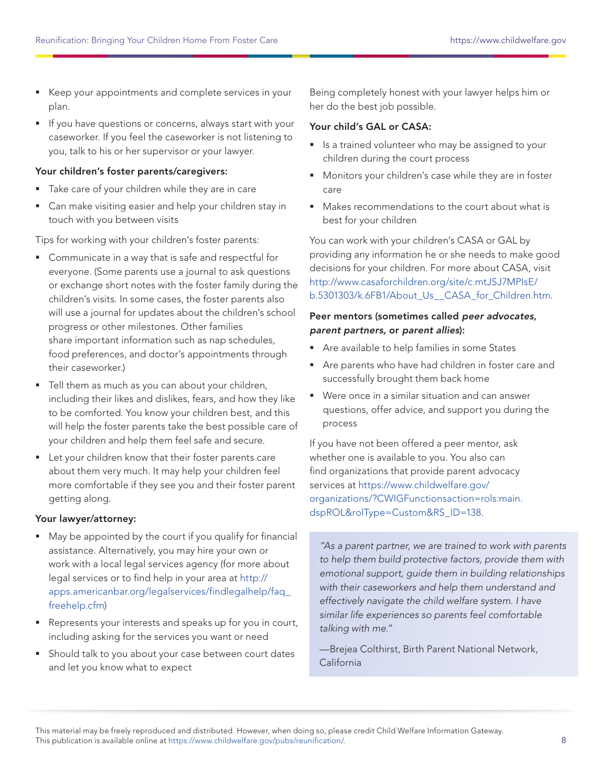- Keep your appointments and complete services in your plan.
- If you have questions or concerns, always start with your caseworker. If you feel the caseworker is not listening to you, talk to his or her supervisor or your lawyer.

#### Your children's foster parents/caregivers:

- **Take care of your children while they are in care**
- Can make visiting easier and help your children stay in touch with you between visits

Tips for working with your children's foster parents:

- Communicate in a way that is safe and respectful for everyone. (Some parents use a journal to ask questions or exchange short notes with the foster family during the children's visits. In some cases, the foster parents also will use a journal for updates about the children's school progress or other milestones. Other families share important information such as nap schedules, food preferences, and doctor's appointments through their caseworker.)
- Tell them as much as you can about your children, including their likes and dislikes, fears, and how they like to be comforted. You know your children best, and this will help the foster parents take the best possible care of your children and help them feel safe and secure.
- **EXEC** Let your children know that their foster parents care about them very much. It may help your children feel more comfortable if they see you and their foster parent getting along.

#### Your lawyer/attorney:

- May be appointed by the court if you qualify for financial assistance. Alternatively, you may hire your own or work with a local legal services agency (for more about legal services or to find help in your area at [http://](http://apps.americanbar.org/legalservices/findlegalhelp/faq_freehelp.cfm) [apps.americanbar.org/legalservices/findlegalhelp/faq\\_](http://apps.americanbar.org/legalservices/findlegalhelp/faq_freehelp.cfm) [freehelp.cfm](http://apps.americanbar.org/legalservices/findlegalhelp/faq_freehelp.cfm))
- **Represents your interests and speaks up for you in court,** including asking for the services you want or need
- **Should talk to you about your case between court dates** and let you know what to expect

Being completely honest with your lawyer helps him or her do the best job possible.

#### Your child's GAL or CASA:

- **I** Is a trained volunteer who may be assigned to your children during the court process
- **Monitors your children's case while they are in foster** care
- Makes recommendations to the court about what is best for your children

You can work with your children's CASA or GAL by providing any information he or she needs to make good decisions for your children. For more about CASA, visit [http://www.casaforchildren.org/site/c.mtJSJ7MPIsE/](http://www.casaforchildren.org/site/c.mtJSJ7MPIsE/b.5301303/k.6FB1/About_Us__CASA_for_Children.htm) [b.5301303/k.6FB1/About\\_Us\\_\\_CASA\\_for\\_Children.htm](http://www.casaforchildren.org/site/c.mtJSJ7MPIsE/b.5301303/k.6FB1/About_Us__CASA_for_Children.htm).

#### Peer mentors (sometimes called peer advocates, parent partners, or parent allies):

- Are available to help families in some States
- Are parents who have had children in foster care and successfully brought them back home
- Were once in a similar situation and can answer questions, offer advice, and support you during the process

If you have not been offered a peer mentor, ask whether one is available to you. You also can find organizations that provide parent advocacy services at [https://www.childwelfare.gov/](https://www.childwelfare.gov/organizations/?CWIGFunctionsaction=rols:main.dspROL&rolType=Custom&RS_ID=19) [organizations/?CWIGFunctionsaction=rols:main.](https://www.childwelfare.gov/organizations/?CWIGFunctionsaction=rols:main.dspROL&rolType=Custom&RS_ID=19) [dspROL&rolType=Custom&RS\\_ID=138](https://www.childwelfare.gov/organizations/?CWIGFunctionsaction=rols:main.dspROL&rolType=Custom&RS_ID=19).

"As a parent partner, we are trained to work with parents to help them build protective factors, provide them with emotional support, guide them in building relationships with their caseworkers and help them understand and effectively navigate the child welfare system. I have similar life experiences so parents feel comfortable talking with me."

—Brejea Colthirst, Birth Parent National Network, California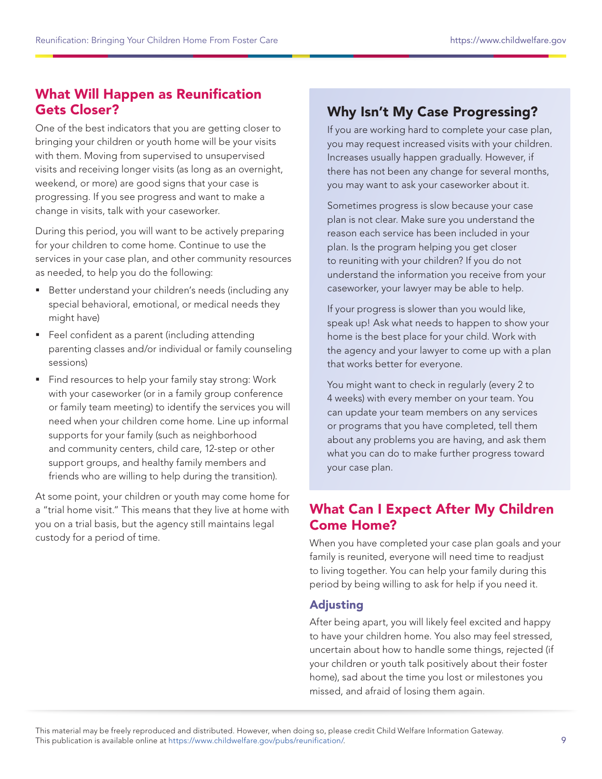# What Will Happen as Reunification Gets Closer?

One of the best indicators that you are getting closer to bringing your children or youth home will be your visits with them. Moving from supervised to unsupervised visits and receiving longer visits (as long as an overnight, weekend, or more) are good signs that your case is progressing. If you see progress and want to make a change in visits, talk with your caseworker.

During this period, you will want to be actively preparing for your children to come home. Continue to use the services in your case plan, and other community resources as needed, to help you do the following:

- Better understand your children's needs (including any special behavioral, emotional, or medical needs they might have)
- **Feel confident as a parent (including attending** parenting classes and/or individual or family counseling sessions)
- **Find resources to help your family stay strong: Work** with your caseworker (or in a family group conference or family team meeting) to identify the services you will need when your children come home. Line up informal supports for your family (such as neighborhood and community centers, child care, 12-step or other support groups, and healthy family members and friends who are willing to help during the transition).

At some point, your children or youth may come home for a "trial home visit." This means that they live at home with you on a trial basis, but the agency still maintains legal custody for a period of time.

# Why Isn't My Case Progressing?

If you are working hard to complete your case plan, you may request increased visits with your children. Increases usually happen gradually. However, if there has not been any change for several months, you may want to ask your caseworker about it.

Sometimes progress is slow because your case plan is not clear. Make sure you understand the reason each service has been included in your plan. Is the program helping you get closer to reuniting with your children? If you do not understand the information you receive from your caseworker, your lawyer may be able to help.

If your progress is slower than you would like, speak up! Ask what needs to happen to show your home is the best place for your child. Work with the agency and your lawyer to come up with a plan that works better for everyone.

You might want to check in regularly (every 2 to 4 weeks) with every member on your team. You can update your team members on any services or programs that you have completed, tell them about any problems you are having, and ask them what you can do to make further progress toward your case plan.

# What Can I Expect After My Children Come Home?

When you have completed your case plan goals and your family is reunited, everyone will need time to readjust to living together. You can help your family during this period by being willing to ask for help if you need it.

### Adjusting

After being apart, you will likely feel excited and happy to have your children home. You also may feel stressed, uncertain about how to handle some things, rejected (if your children or youth talk positively about their foster home), sad about the time you lost or milestones you missed, and afraid of losing them again.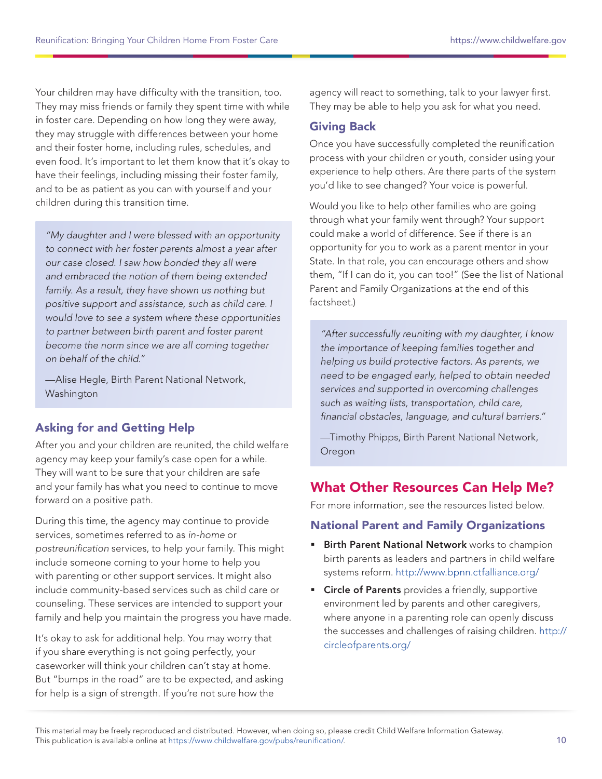Your children may have difficulty with the transition, too. They may miss friends or family they spent time with while in foster care. Depending on how long they were away, they may struggle with differences between your home and their foster home, including rules, schedules, and even food. It's important to let them know that it's okay to have their feelings, including missing their foster family, and to be as patient as you can with yourself and your children during this transition time.

"My daughter and I were blessed with an opportunity to connect with her foster parents almost a year after our case closed. I saw how bonded they all were and embraced the notion of them being extended family. As a result, they have shown us nothing but positive support and assistance, such as child care. I would love to see a system where these opportunities to partner between birth parent and foster parent become the norm since we are all coming together on behalf of the child."

—Alise Hegle, Birth Parent National Network, Washington

### Asking for and Getting Help

After you and your children are reunited, the child welfare agency may keep your family's case open for a while. They will want to be sure that your children are safe and your family has what you need to continue to move forward on a positive path.

During this time, the agency may continue to provide services, sometimes referred to as in-home or postreunification services, to help your family. This might include someone coming to your home to help you with parenting or other support services. It might also include community-based services such as child care or counseling. These services are intended to support your family and help you maintain the progress you have made.

It's okay to ask for additional help. You may worry that if you share everything is not going perfectly, your caseworker will think your children can't stay at home. But "bumps in the road" are to be expected, and asking for help is a sign of strength. If you're not sure how the

agency will react to something, talk to your lawyer first. They may be able to help you ask for what you need.

#### Giving Back

Once you have successfully completed the reunification process with your children or youth, consider using your experience to help others. Are there parts of the system you'd like to see changed? Your voice is powerful.

Would you like to help other families who are going through what your family went through? Your support could make a world of difference. See if there is an opportunity for you to work as a parent mentor in your State. In that role, you can encourage others and show them, "If I can do it, you can too!" (See the list of National Parent and Family Organizations at the end of this factsheet.)

"After successfully reuniting with my daughter, I know the importance of keeping families together and helping us build protective factors. As parents, we need to be engaged early, helped to obtain needed services and supported in overcoming challenges such as waiting lists, transportation, child care, financial obstacles, language, and cultural barriers."

—Timothy Phipps, Birth Parent National Network, Oregon

# What Other Resources Can Help Me?

For more information, see the resources listed below.

### National Parent and Family Organizations

- Birth Parent National Network works to champion birth parents as leaders and partners in child welfare systems reform. <http://www.bpnn.ctfalliance.org/>
- **Circle of Parents** provides a friendly, supportive environment led by parents and other caregivers, where anyone in a parenting role can openly discuss the successes and challenges of raising children. [http://](http://circleofparents.org/) [circleofparents.org/](http://circleofparents.org/)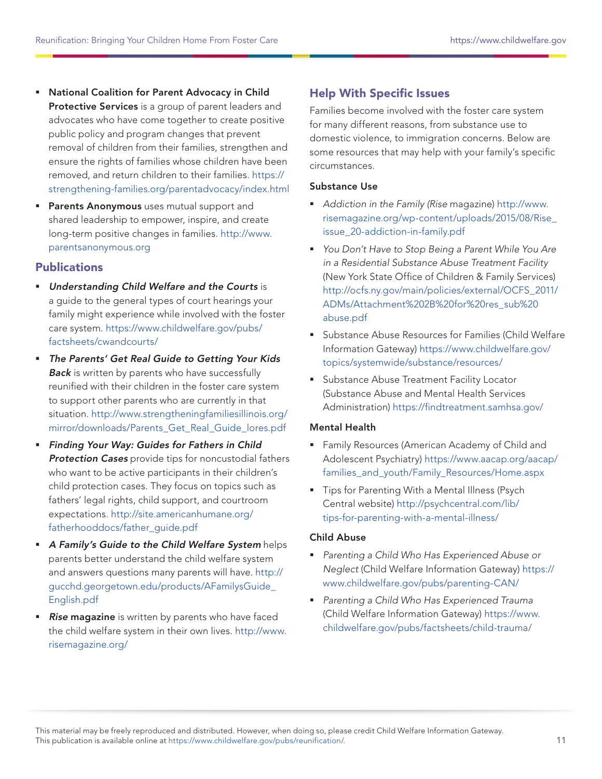- National Coalition for Parent Advocacy in Child Protective Services is a group of parent leaders and advocates who have come together to create positive public policy and program changes that prevent removal of children from their families, strengthen and ensure the rights of families whose children have been removed, and return children to their families. [https://](https://strengthening-families.org/parentadvocacy/index.html) [strengthening-families.org/parentadvocacy/index.html](https://strengthening-families.org/parentadvocacy/index.html)
- **Parents Anonymous** uses mutual support and shared leadership to empower, inspire, and create long-term positive changes in families. [http://www.](http://www.parentsanonymous.org) [parentsanonymous.org](http://www.parentsanonymous.org)

#### **Publications**

- **Understanding Child Welfare and the Courts is** a guide to the general types of court hearings your family might experience while involved with the foster care system. [https://www.childwelfare.gov/pubs/](https://www.childwelfare.gov/pubs/factsheets/cwandcourts/) [factsheets/cwandcourts/](https://www.childwelfare.gov/pubs/factsheets/cwandcourts/)
- **The Parents' Get Real Guide to Getting Your Kids Back** is written by parents who have successfully reunified with their children in the foster care system to support other parents who are currently in that situation. [http://www.strengtheningfamiliesillinois.org/](http://www.strengtheningfamiliesillinois.org/mirror/downloads/Parents_Get_Real_Guide_lores.pdf) [mirror/downloads/Parents\\_Get\\_Real\\_Guide\\_lores.pdf](http://www.strengtheningfamiliesillinois.org/mirror/downloads/Parents_Get_Real_Guide_lores.pdf)
- Finding Your Way: Guides for Fathers in Child **Protection Cases** provide tips for noncustodial fathers who want to be active participants in their children's child protection cases. They focus on topics such as fathers' legal rights, child support, and courtroom expectations. [http://site.americanhumane.org/](http://site.americanhumane.org/fatherhooddocs/father_guide.pdf) [fatherhooddocs/father\\_guide.pdf](http://site.americanhumane.org/fatherhooddocs/father_guide.pdf)
- A Family's Guide to the Child Welfare System helps parents better understand the child welfare system and answers questions many parents will have. [http://](http://gucchd.georgetown.edu/products/AFamilysGuide_English.pdf) [gucchd.georgetown.edu/products/AFamilysGuide\\_](http://gucchd.georgetown.edu/products/AFamilysGuide_English.pdf) [English.pdf](http://gucchd.georgetown.edu/products/AFamilysGuide_English.pdf)
- **Rise magazine** is written by parents who have faced the child welfare system in their own lives. [http://www.](http://www.risemagazine.org/) [risemagazine.org/](http://www.risemagazine.org/)

# Help With Specific Issues

Families become involved with the foster care system for many different reasons, from substance use to domestic violence, to immigration concerns. Below are some resources that may help with your family's specific circumstances.

#### Substance Use

- Addiction in the Family (Rise magazine) [http://www.](http://www.risemagazine.org/wp-content/uploads/2015/08/Rise_issue_20-addiction-in-family.pdf) [risemagazine.org/wp-content/uploads/2015/08/Rise\\_](http://www.risemagazine.org/wp-content/uploads/2015/08/Rise_issue_20-addiction-in-family.pdf) [issue\\_20-addiction-in-family.pdf](http://www.risemagazine.org/wp-content/uploads/2015/08/Rise_issue_20-addiction-in-family.pdf)
- **You Don't Have to Stop Being a Parent While You Are** in a Residential Substance Abuse Treatment Facility (New York State Office of Children & Family Services) [http://ocfs.ny.gov/main/policies/external/OCFS\\_2011/](http://ocfs.ny.gov/main/policies/external/OCFS_2011/ADMs/Attachment%202B%20for%20res_sub%20abuse.pdf) [ADMs/Attachment%202B%20for%20res\\_sub%20](http://ocfs.ny.gov/main/policies/external/OCFS_2011/ADMs/Attachment%202B%20for%20res_sub%20abuse.pdf) [abuse.pdf](http://ocfs.ny.gov/main/policies/external/OCFS_2011/ADMs/Attachment%202B%20for%20res_sub%20abuse.pdf)
- Substance Abuse Resources for Families (Child Welfare Information Gateway) [https://www.childwelfare.gov/](https://www.childwelfare.gov/topics/systemwide/substance/resources/) [topics/systemwide/substance/resources/](https://www.childwelfare.gov/topics/systemwide/substance/resources/)
- **Substance Abuse Treatment Facility Locator** (Substance Abuse and Mental Health Services Administration) <https://findtreatment.samhsa.gov/>

#### Mental Health

- **Family Resources (American Academy of Child and** Adolescent Psychiatry) [https://www.aacap.org/aacap/](https://www.aacap.org/aacap/families_and_youth/Family_Resources/Home.aspx) families\_and\_youth/Family\_Resources/Home.aspx
- **Tips for Parenting With a Mental Illness (Psych** Central website) [http://psychcentral.com/lib/](http://psychcentral.com/lib/tips-for-parenting-with-a-mental-illness/) [tips-for-parenting-with-a-mental-illness/](http://psychcentral.com/lib/tips-for-parenting-with-a-mental-illness/)

#### Child Abuse

- Parenting a Child Who Has Experienced Abuse or Neglect (Child Welfare Information Gateway) [https://](https://www.childwelfare.gov/pubs/parenting-CAN/) [www.childwelfare.gov/pubs/parenting-CAN/](https://www.childwelfare.gov/pubs/parenting-CAN/)
- **Parenting a Child Who Has Experienced Trauma** (Child Welfare Information Gateway) [https://www.](https://www.childwelfare.gov/pubs/factsheets/child-trauma/) [childwelfare.gov/pubs/factsheets/child-trauma/](https://www.childwelfare.gov/pubs/factsheets/child-trauma/)